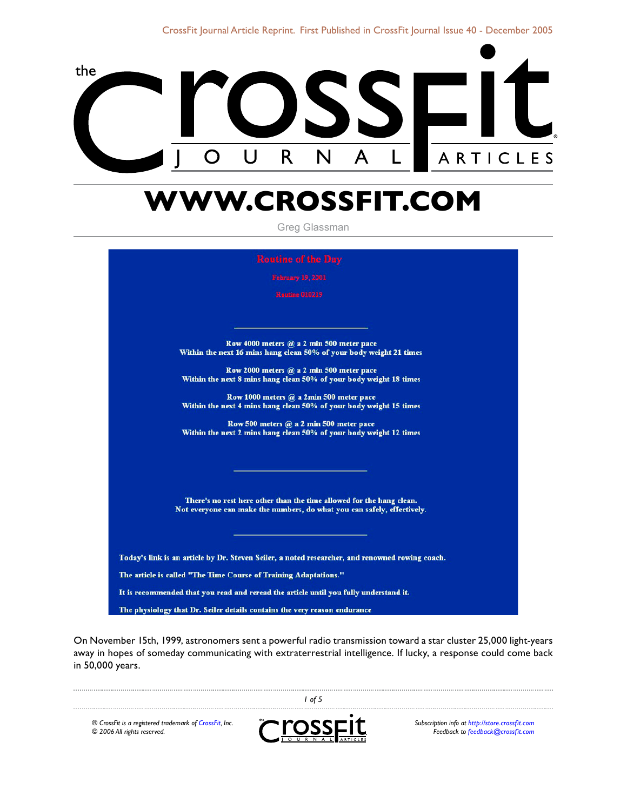

# **WWW.CROSSFIT.COM**

Greg Glassman

Row 4000 meters  $@a 2$  min 500 meter pace Within the next 16 mins hang clean 50% of your body weight 21 times

Row 2000 meters  $@a 2$  min 500 meter pace Within the next 8 mins hang clean 50% of your body weight 18 times

Row 1000 meters @ a 2min 500 meter pace Within the next 4 mins hang clean 50% of your body weight 15 times

Row 500 meters @ a 2 min 500 meter pace Within the next 2 mins hang clean 50% of your body weight 12 times

There's no rest here other than the time allowed for the hang clean. Not everyone can make the numbers, do what you can safely, effectively.

Today's link is an article by Dr. Steven Seiler, a noted researcher, and renowned rowing coach. The article is called "The Time Course of Training Adaptations." It is recommended that you read and reread the article until you fully understand it. The physiology that Dr. Seiler details contains the very reason endurance

On November 15th, 1999, astronomers sent a powerful radio transmission toward a star cluster 25,000 light-years away in hopes of someday communicating with extraterrestrial intelligence. If lucky, a response could come back in 50,000 years.

*® CrossFit is a registered trademark of [CrossFit,](http://www.crossfit.com) Inc. © 2006 All rights reserved.*



 *of 5*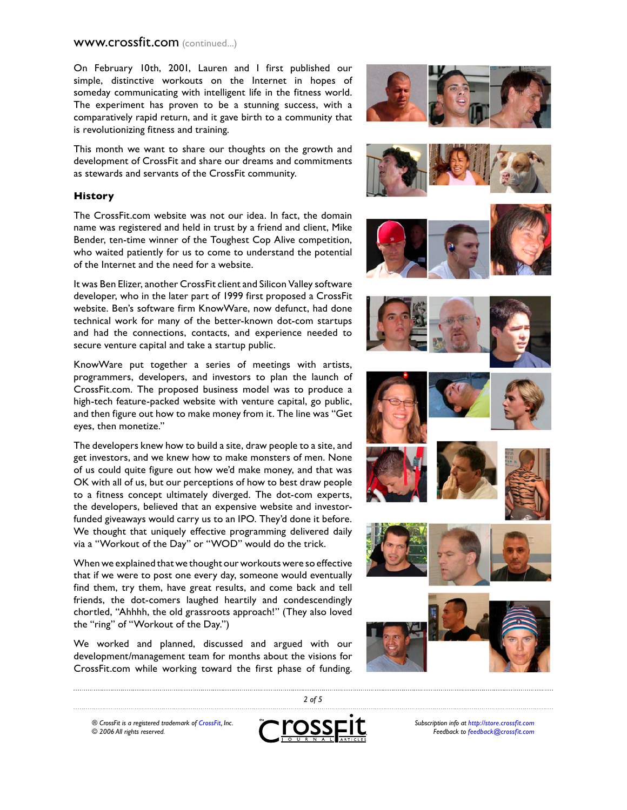On February 10th, 2001, Lauren and I first published our simple, distinctive workouts on the Internet in hopes of someday communicating with intelligent life in the fitness world. The experiment has proven to be a stunning success, with a comparatively rapid return, and it gave birth to a community that is revolutionizing fitness and training.

This month we want to share our thoughts on the growth and development of CrossFit and share our dreams and commitments as stewards and servants of the CrossFit community.

#### **History**

The CrossFit.com website was not our idea. In fact, the domain name was registered and held in trust by a friend and client, Mike Bender, ten-time winner of the Toughest Cop Alive competition, who waited patiently for us to come to understand the potential of the Internet and the need for a website.

It was Ben Elizer, another CrossFit client and Silicon Valley software developer, who in the later part of 1999 first proposed a CrossFit website. Ben's software firm KnowWare, now defunct, had done technical work for many of the better-known dot-com startups and had the connections, contacts, and experience needed to secure venture capital and take a startup public.

KnowWare put together a series of meetings with artists, programmers, developers, and investors to plan the launch of CrossFit.com. The proposed business model was to produce a high-tech feature-packed website with venture capital, go public, and then figure out how to make money from it. The line was "Get eyes, then monetize."

The developers knew how to build a site, draw people to a site, and get investors, and we knew how to make monsters of men. None of us could quite figure out how we'd make money, and that was OK with all of us, but our perceptions of how to best draw people to a fitness concept ultimately diverged. The dot-com experts, the developers, believed that an expensive website and investorfunded giveaways would carry us to an IPO. They'd done it before. We thought that uniquely effective programming delivered daily via a "Workout of the Day" or "WOD" would do the trick.

When we explained that we thought our workouts were so effective that if we were to post one every day, someone would eventually find them, try them, have great results, and come back and tell friends, the dot-comers laughed heartily and condescendingly chortled, "Ahhhh, the old grassroots approach!" (They also loved the "ring" of "Workout of the Day.")

We worked and planned, discussed and argued with our development/management team for months about the visions for CrossFit.com while working toward the first phase of funding.



*® CrossFit is a registered trademark of [CrossFit,](http://www.crossfit.com) Inc. © 2006 All rights reserved.*



 *of 5*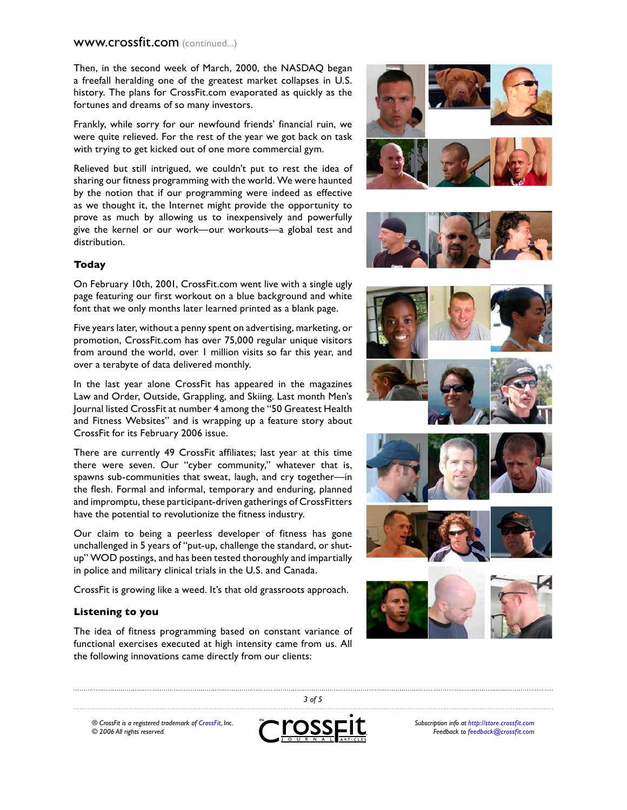Then, in the second week of March, 2000, the NASDAQ began a freefall heralding one of the greatest market collapses in U.S. history. The plans for CrossFit.com evaporated as quickly as the fortunes and dreams of so many investors.

Frankly, while sorry for our newfound friends' financial ruin, we were quite relieved. For the rest of the year we got back on task with trying to get kicked out of one more commercial gym.

Relieved but still intrigued, we couldn't put to rest the idea of sharing our fitness programming with the world. We were haunted by the notion that if our programming were indeed as effective as we thought it, the Internet might provide the opportunity to prove as much by allowing us to inexpensively and powerfully give the kernel or our work—our workouts—a global test and distribution.

#### **Today**

On February 10th, 2001, CrossFit.com went live with a single ugly page featuring our first workout on a blue background and white font that we only months later learned printed as a blank page.

Five years later, without a penny spent on advertising, marketing, or promotion, CrossFit.com has over 75,000 regular unique visitors from around the world, over 1 million visits so far this year, and over a terabyte of data delivered monthly.

In the last year alone CrossFit has appeared in the magazines Law and Order, Outside, Grappling, and Skiing. Last month Men's Journal listed CrossFit at number 4 among the "50 Greatest Health and Fitness Websites" and is wrapping up a feature story about CrossFit for its February 2006 issue.

There are currently 49 CrossFit affiliates; last year at this time there were seven. Our "cyber community," whatever that is, spawns sub-communities that sweat, laugh, and cry together—in the flesh. Formal and informal, temporary and enduring, planned and impromptu, these participant-driven gatherings of CrossFitters have the potential to revolutionize the fitness industry.

Our claim to being a peerless developer of fitness has gone unchallenged in 5 years of "put-up, challenge the standard, or shutup" WOD postings, and has been tested thoroughly and impartially in police and military clinical trials in the U.S. and Canada.

CrossFit is growing like a weed. It's that old grassroots approach.

#### **Listening to you**

The idea of fitness programming based on constant variance of functional exercises executed at high intensity came from us. All the following innovations came directly from our clients:













*® CrossFit is a registered trademark of [CrossFit,](http://www.crossfit.com) Inc. © 2006 All rights reserved.*



 *of 5*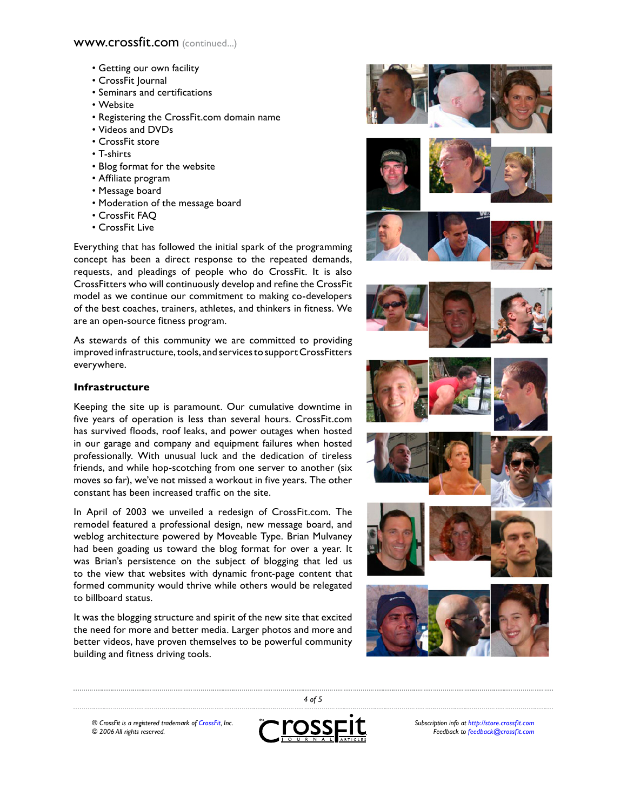- Getting our own facility
- CrossFit Journal
- Seminars and certifications
- Website
- Registering the CrossFit.com domain name
- Videos and DVDs
- CrossFit store
- T-shirts
- Blog format for the website
- Affiliate program
- Message board
- Moderation of the message board
- CrossFit FAQ
- CrossFit Live

Everything that has followed the initial spark of the programming concept has been a direct response to the repeated demands, requests, and pleadings of people who do CrossFit. It is also CrossFitters who will continuously develop and refine the CrossFit model as we continue our commitment to making co-developers of the best coaches, trainers, athletes, and thinkers in fitness. We are an open-source fitness program.

As stewards of this community we are committed to providing improved infrastructure, tools, and services to support CrossFitters everywhere.

## **Infrastructure**

Keeping the site up is paramount. Our cumulative downtime in five years of operation is less than several hours. CrossFit.com has survived floods, roof leaks, and power outages when hosted in our garage and company and equipment failures when hosted professionally. With unusual luck and the dedication of tireless friends, and while hop-scotching from one server to another (six moves so far), we've not missed a workout in five years. The other constant has been increased traffic on the site.

In April of 2003 we unveiled a redesign of CrossFit.com. The remodel featured a professional design, new message board, and weblog architecture powered by Moveable Type. Brian Mulvaney had been goading us toward the blog format for over a year. It was Brian's persistence on the subject of blogging that led us to the view that websites with dynamic front-page content that formed community would thrive while others would be relegated to billboard status.

It was the blogging structure and spirit of the new site that excited the need for more and better media. Larger photos and more and better videos, have proven themselves to be powerful community building and fitness driving tools.



*® CrossFit is a registered trademark of [CrossFit,](http://www.crossfit.com) Inc. © 2006 All rights reserved.*



 *of 5*